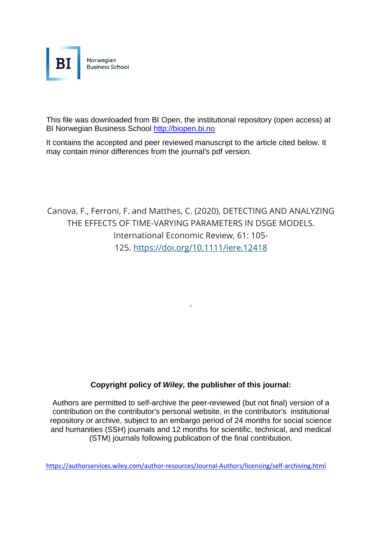

This file was downloaded from BI Open, the institutional repository (open access) at BI Norwegian Business School [http://biopen.bi.no](http://biopen.bi.no/)

It contains the accepted and peer reviewed manuscript to the article cited below. It may contain minor differences from the journal's pdf version.

Canova, F., Ferroni, F. and Matthes, C. (2020), DETECTING AND ANALYZING THE EFFECTS OF TIME-VARYING PARAMETERS IN DSGE MODELS. International Economic Review, 61: 105- 125. <https://doi.org/10.1111/iere.12418>

 $\epsilon$ 

### **Copyright policy of** *Wiley,* **the publisher of this journal:**

Authors are permitted to self-archive the peer-reviewed (but not final) version of a contribution on the contributor's personal website, in the contributor's institutional repository or archive, subject to an embargo period of 24 months for social science and humanities (SSH) journals and 12 months for scientific, technical, and medical (STM) journals following publication of the final contribution.

<https://authorservices.wiley.com/author-resources/Journal-Authors/licensing/self-archiving.html>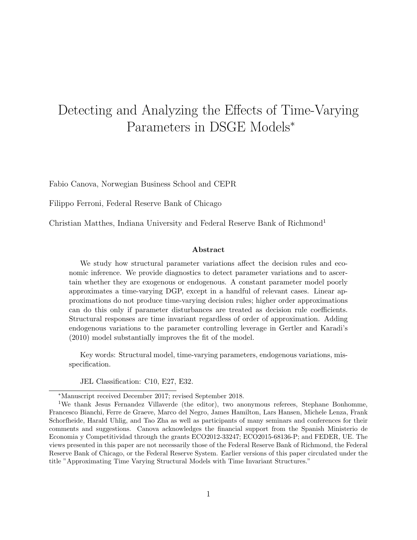# Detecting and Analyzing the Effects of Time-Varying Parameters in DSGE Models<sup>∗</sup>

Fabio Canova, Norwegian Business School and CEPR

Filippo Ferroni, Federal Reserve Bank of Chicago

Christian Matthes, Indiana University and Federal Reserve Bank of Richmond<sup>1</sup>

#### Abstract

We study how structural parameter variations affect the decision rules and economic inference. We provide diagnostics to detect parameter variations and to ascertain whether they are exogenous or endogenous. A constant parameter model poorly approximates a time-varying DGP, except in a handful of relevant cases. Linear approximations do not produce time-varying decision rules; higher order approximations can do this only if parameter disturbances are treated as decision rule coefficients. Structural responses are time invariant regardless of order of approximation. Adding endogenous variations to the parameter controlling leverage in Gertler and Karadi's (2010) model substantially improves the fit of the model.

Key words: Structural model, time-varying parameters, endogenous variations, misspecification.

JEL Classification: C10, E27, E32.

<sup>∗</sup>Manuscript received December 2017; revised September 2018.

<sup>&</sup>lt;sup>1</sup>We thank Jesus Fernandez Villaverde (the editor), two anonymous referees, Stephane Bonhomme, Francesco Bianchi, Ferre de Graeve, Marco del Negro, James Hamilton, Lars Hansen, Michele Lenza, Frank Schorfheide, Harald Uhlig, and Tao Zha as well as participants of many seminars and conferences for their comments and suggestions. Canova acknowledges the financial support from the Spanish Ministerio de Economia y Competitividad through the grants ECO2012-33247; ECO2015-68136-P; and FEDER, UE. The views presented in this paper are not necessarily those of the Federal Reserve Bank of Richmond, the Federal Reserve Bank of Chicago, or the Federal Reserve System. Earlier versions of this paper circulated under the title "Approximating Time Varying Structural Models with Time Invariant Structures."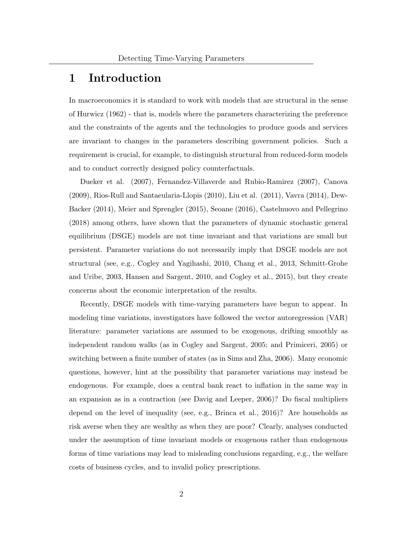### 1 Introduction

In macroeconomics it is standard to work with models that are structural in the sense of Hurwicz (1962) - that is, models where the parameters characterizing the preference and the constraints of the agents and the technologies to produce goods and services are invariant to changes in the parameters describing government policies. Such a requirement is crucial, for example, to distinguish structural from reduced-form models and to conduct correctly designed policy counterfactuals.

Dueker et al. (2007), Fernandez-Villaverde and Rubio-Ramirez (2007), Canova (2009), Rios-Rull and Santaeularia-Llopis (2010), Liu et al. (2011), Vavra (2014), Dew-Backer (2014), Meier and Sprengler (2015), Seoane (2016), Castelnuovo and Pellegrino (2018) among others, have shown that the parameters of dynamic stochastic general equilibrium (DSGE) models are not time invariant and that variations are small but persistent. Parameter variations do not necessarily imply that DSGE models are not structural (see, e.g., Cogley and Yagihashi, 2010, Chang et al., 2013, Schmitt-Grohe and Uribe, 2003, Hansen and Sargent, 2010, and Cogley et al., 2015), but they create concerns about the economic interpretation of the results.

Recently, DSGE models with time-varying parameters have begun to appear. In modeling time variations, investigators have followed the vector autoregression (VAR) literature: parameter variations are assumed to be exogenous, drifting smoothly as independent random walks (as in Cogley and Sargent, 2005; and Primiceri, 2005) or switching between a finite number of states (as in Sims and Zha, 2006). Many economic questions, however, hint at the possibility that parameter variations may instead be endogenous. For example, does a central bank react to inflation in the same way in an expansion as in a contraction (see Davig and Leeper, 2006)? Do fiscal multipliers depend on the level of inequality (see, e.g., Brinca et al., 2016)? Are households as risk averse when they are wealthy as when they are poor? Clearly, analyses conducted under the assumption of time invariant models or exogenous rather than endogenous forms of time variations may lead to misleading conclusions regarding, e.g., the welfare costs of business cycles, and to invalid policy prescriptions.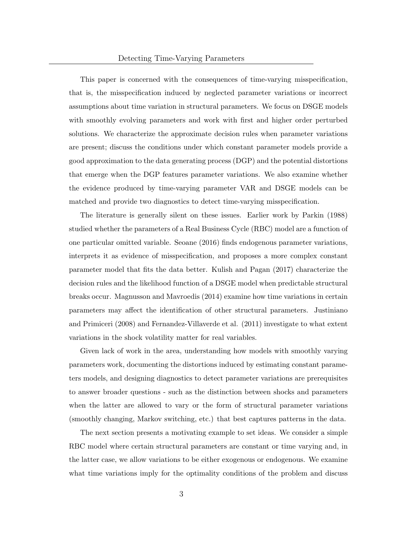This paper is concerned with the consequences of time-varying misspecification, that is, the misspecification induced by neglected parameter variations or incorrect assumptions about time variation in structural parameters. We focus on DSGE models with smoothly evolving parameters and work with first and higher order perturbed solutions. We characterize the approximate decision rules when parameter variations are present; discuss the conditions under which constant parameter models provide a good approximation to the data generating process (DGP) and the potential distortions that emerge when the DGP features parameter variations. We also examine whether the evidence produced by time-varying parameter VAR and DSGE models can be matched and provide two diagnostics to detect time-varying misspecification.

The literature is generally silent on these issues. Earlier work by Parkin (1988) studied whether the parameters of a Real Business Cycle (RBC) model are a function of one particular omitted variable. Seoane (2016) finds endogenous parameter variations, interprets it as evidence of misspecification, and proposes a more complex constant parameter model that fits the data better. Kulish and Pagan (2017) characterize the decision rules and the likelihood function of a DSGE model when predictable structural breaks occur. Magnusson and Mavroedis (2014) examine how time variations in certain parameters may affect the identification of other structural parameters. Justiniano and Primiceri (2008) and Fernandez-Villaverde et al. (2011) investigate to what extent variations in the shock volatility matter for real variables.

Given lack of work in the area, understanding how models with smoothly varying parameters work, documenting the distortions induced by estimating constant parameters models, and designing diagnostics to detect parameter variations are prerequisites to answer broader questions - such as the distinction between shocks and parameters when the latter are allowed to vary or the form of structural parameter variations (smoothly changing, Markov switching, etc.) that best captures patterns in the data.

The next section presents a motivating example to set ideas. We consider a simple RBC model where certain structural parameters are constant or time varying and, in the latter case, we allow variations to be either exogenous or endogenous. We examine what time variations imply for the optimality conditions of the problem and discuss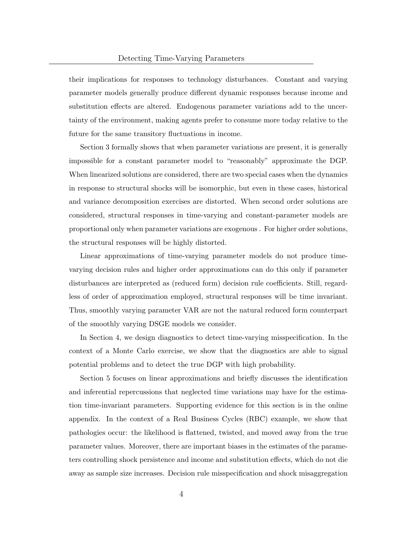their implications for responses to technology disturbances. Constant and varying parameter models generally produce different dynamic responses because income and substitution effects are altered. Endogenous parameter variations add to the uncertainty of the environment, making agents prefer to consume more today relative to the future for the same transitory fluctuations in income.

Section 3 formally shows that when parameter variations are present, it is generally impossible for a constant parameter model to "reasonably" approximate the DGP. When linearized solutions are considered, there are two special cases when the dynamics in response to structural shocks will be isomorphic, but even in these cases, historical and variance decomposition exercises are distorted. When second order solutions are considered, structural responses in time-varying and constant-parameter models are proportional only when parameter variations are exogenous . For higher order solutions, the structural responses will be highly distorted.

Linear approximations of time-varying parameter models do not produce timevarying decision rules and higher order approximations can do this only if parameter disturbances are interpreted as (reduced form) decision rule coefficients. Still, regardless of order of approximation employed, structural responses will be time invariant. Thus, smoothly varying parameter VAR are not the natural reduced form counterpart of the smoothly varying DSGE models we consider.

In Section 4, we design diagnostics to detect time-varying misspecification. In the context of a Monte Carlo exercise, we show that the diagnostics are able to signal potential problems and to detect the true DGP with high probability.

Section 5 focuses on linear approximations and briefly discusses the identification and inferential repercussions that neglected time variations may have for the estimation time-invariant parameters. Supporting evidence for this section is in the online appendix. In the context of a Real Business Cycles (RBC) example, we show that pathologies occur: the likelihood is flattened, twisted, and moved away from the true parameter values. Moreover, there are important biases in the estimates of the parameters controlling shock persistence and income and substitution effects, which do not die away as sample size increases. Decision rule misspecification and shock misaggregation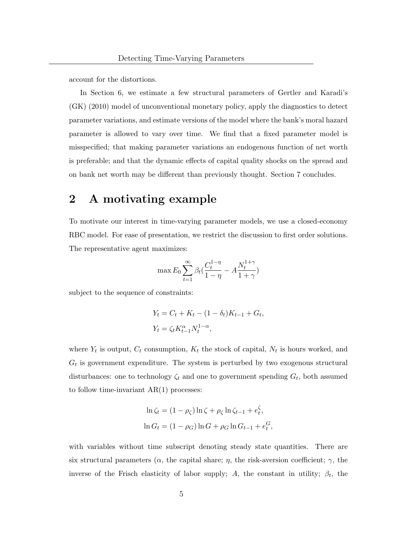account for the distortions.

In Section 6, we estimate a few structural parameters of Gertler and Karadi's (GK) (2010) model of unconventional monetary policy, apply the diagnostics to detect parameter variations, and estimate versions of the model where the bank's moral hazard parameter is allowed to vary over time. We find that a fixed parameter model is misspecified; that making parameter variations an endogenous function of net worth is preferable; and that the dynamic effects of capital quality shocks on the spread and on bank net worth may be different than previously thought. Section 7 concludes.

# 2 A motivating example

To motivate our interest in time-varying parameter models, we use a closed-economy RBC model. For ease of presentation, we restrict the discussion to first order solutions. The representative agent maximizes:

$$
\max E_0 \sum_{t=1}^{\infty} \beta_t \left( \frac{C_t^{1-\eta}}{1-\eta} - A \frac{N_t^{1+\gamma}}{1+\gamma} \right)
$$

subject to the sequence of constraints:

$$
Y_t = C_t + K_t - (1 - \delta_t)K_{t-1} + G_t,
$$
  
\n
$$
Y_t = \zeta_t K_{t-1}^{\alpha} N_t^{1-\alpha},
$$

where  $Y_t$  is output,  $C_t$  consumption,  $K_t$  the stock of capital,  $N_t$  is hours worked, and  $G_t$  is government expenditure. The system is perturbed by two exogenous structural disturbances: one to technology  $\zeta_t$  and one to government spending  $G_t$ , both assumed to follow time-invariant  $AR(1)$  processes:

$$
\ln \zeta_t = (1 - \rho_\zeta) \ln \zeta + \rho_\zeta \ln \zeta_{t-1} + e_t^\zeta,
$$
  

$$
\ln G_t = (1 - \rho_G) \ln G + \rho_G \ln G_{t-1} + e_t^G,
$$

with variables without time subscript denoting steady state quantities. There are six structural parameters ( $\alpha$ , the capital share;  $\eta$ , the risk-aversion coefficient;  $\gamma$ , the inverse of the Frisch elasticity of labor supply; A, the constant in utility;  $\beta_t$ , the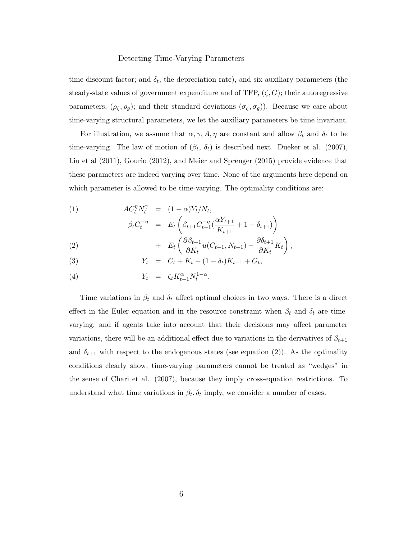time discount factor; and  $\delta_t$ , the depreciation rate), and six auxiliary parameters (the steady-state values of government expenditure and of TFP,  $(\zeta, G)$ ; their autoregressive parameters,  $(\rho_{\zeta}, \rho_{g})$ ; and their standard deviations  $(\sigma_{\zeta}, \sigma_{g})$ ). Because we care about time-varying structural parameters, we let the auxiliary parameters be time invariant.

For illustration, we assume that  $\alpha, \gamma, A, \eta$  are constant and allow  $\beta_t$  and  $\delta_t$  to be time-varying. The law of motion of  $(\beta_t, \delta_t)$  is described next. Dueker et al. (2007), Liu et al (2011), Gourio (2012), and Meier and Sprenger (2015) provide evidence that these parameters are indeed varying over time. None of the arguments here depend on which parameter is allowed to be time-varying. The optimality conditions are:

(1)  
\n
$$
AC_{t}^{\eta} N_{t}^{\gamma} = (1 - \alpha) Y_{t} / N_{t},
$$
\n
$$
\beta_{t} C_{t}^{-\eta} = E_{t} \left( \beta_{t+1} C_{t+1}^{-\eta} \left( \frac{\alpha Y_{t+1}}{K_{t+1}} + 1 - \delta_{t+1} \right) \right)
$$
\n
$$
+ E_{t} \left( \frac{\partial \beta_{t+1}}{\partial K_{t}} u(C_{t+1}, N_{t+1}) - \frac{\partial \delta_{t+1}}{\partial K_{t}} K_{t} \right),
$$

(3) 
$$
Y_t = C_t + K_t - (1 - \delta_t)K_{t-1} + G_t,
$$

$$
(4) \t Y_t = \zeta_t K_{t-1}^{\alpha} N_t^{1-\alpha}.
$$

Time variations in  $\beta_t$  and  $\delta_t$  affect optimal choices in two ways. There is a direct effect in the Euler equation and in the resource constraint when  $\beta_t$  and  $\delta_t$  are timevarying; and if agents take into account that their decisions may affect parameter variations, there will be an additional effect due to variations in the derivatives of  $\beta_{t+1}$ and  $\delta_{t+1}$  with respect to the endogenous states (see equation (2)). As the optimality conditions clearly show, time-varying parameters cannot be treated as "wedges" in the sense of Chari et al. (2007), because they imply cross-equation restrictions. To understand what time variations in  $\beta_t$ ,  $\delta_t$  imply, we consider a number of cases.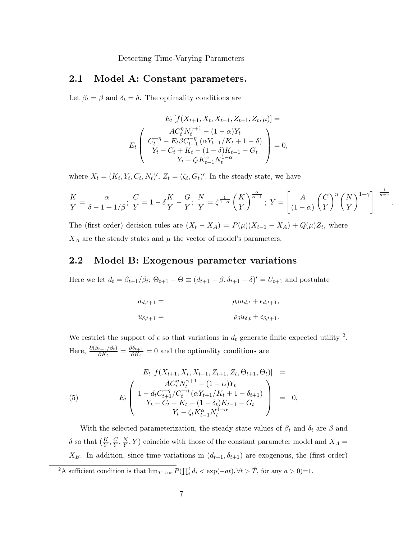### 2.1 Model A: Constant parameters.

Let  $\beta_t = \beta$  and  $\delta_t = \delta$ . The optimality conditions are

$$
E_t\left[f(X_{t+1}, X_t, X_{t-1}, Z_{t+1}, Z_t, \mu)\right] =
$$
  
\n
$$
E_t\left(\begin{array}{c} AC_t^{\eta} N_t^{\gamma+1} - (1-\alpha)Y_t\\ C_t^{-\eta} - E_t \beta C_{t+1}^{-\eta} (\alpha Y_{t+1}/K_t + 1 - \delta)\\ Y_t - C_t + K_t - (1-\delta)K_{t-1} - G_t\\ Y_t - \zeta_t K_{t-1}^{\alpha} N_t^{1-\alpha} \end{array}\right) = 0,
$$

where  $X_t = (K_t, Y_t, C_t, N_t)'$ ,  $Z_t = (\zeta_t, G_t)'$ . In the steady state, we have

$$
\frac{K}{Y} = \frac{\alpha}{\delta - 1 + 1/\beta}; \ \frac{C}{Y} = 1 - \delta \frac{K}{Y} - \frac{G}{Y}; \ \frac{N}{Y} = \zeta^{\frac{1}{1-\alpha}} \left(\frac{K}{Y}\right)^{\frac{\alpha}{\alpha-1}}; \ Y = \left[\frac{A}{(1-\alpha)} \left(\frac{C}{Y}\right)^{\eta} \left(\frac{N}{Y}\right)^{1+\gamma}\right]^{-\frac{1}{\eta+\gamma}}
$$

.

The (first order) decision rules are  $(X_t - X_A) = P(\mu)(X_{t-1} - X_A) + Q(\mu)Z_t$ , where  $X_A$  are the steady states and  $\mu$  the vector of model's parameters.

#### 2.2 Model B: Exogenous parameter variations

Here we let  $d_t = \beta_{t+1}/\beta_t$ ;  $\Theta_{t+1} - \Theta \equiv (d_{t+1} - \beta, \delta_{t+1} - \delta)' = U_{t+1}$  and postulate

$$
u_{d,t+1} = \rho_d u_{d,t} + \epsilon_{d,t+1},
$$
  

$$
u_{\delta,t+1} = \rho_{\delta} u_{\delta,t} + \epsilon_{\delta,t+1}.
$$

We restrict the support of  $\epsilon$  so that variations in  $d_t$  generate finite expected utility <sup>2</sup>. Here,  $\frac{\partial(\beta_{t+1}/\beta_t)}{\partial K_t} = \frac{\partial \delta_{t+1}}{\partial K_t}$  $\frac{\partial \theta_{t+1}}{\partial K_t} = 0$  and the optimality conditions are

(5) 
$$
E_t \left[ f(X_{t+1}, X_t, X_{t-1}, Z_{t+1}, Z_t, \Theta_{t+1}, \Theta_t) \right] =
$$

$$
E_t \left( 1 - \frac{AC_t^{\eta} N_t^{\gamma+1} - (1 - \alpha) Y_t}{Y_t - C_t - K_t + (1 - \delta_t) K_{t-1} - G_t} \right) = 0,
$$

$$
Y_t - \zeta_t K_{t-1}^{\alpha} N_t^{1-\alpha}
$$

With the selected parameterization, the steady-state values of  $\beta_t$  and  $\delta_t$  are  $\beta$  and  $\delta$  so that  $(\frac{K}{Y}, \frac{C}{Y})$  $\frac{C}{Y}, \frac{N}{Y}$  $\frac{N}{Y}$ , Y) coincide with those of the constant parameter model and  $X_A =$  $X_B$ . In addition, since time variations in  $(d_{t+1}, \delta_{t+1})$  are exogenous, the (first order)

<sup>&</sup>lt;sup>2</sup>A sufficient condition is that  $\lim_{T\to\infty} P(\prod_i^t d_i < \exp(-at), \forall t > \overline{T})$ , for any  $a > 0$ )=1.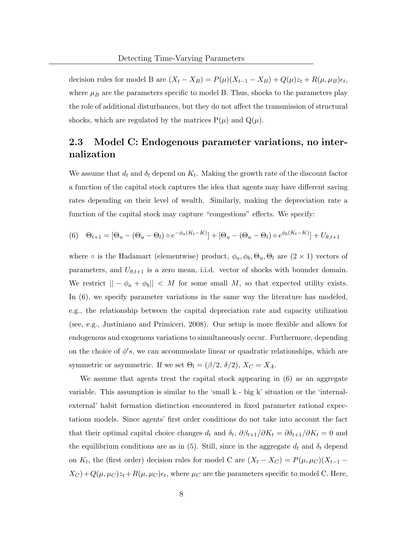decision rules for model B are  $(X_t - X_B) = P(\mu)(X_{t-1} - X_B) + Q(\mu)z_t + R(\mu, \mu)z_t$ , where  $\mu_B$  are the parameters specific to model B. Thus, shocks to the parameters play the role of additional disturbances, but they do not affect the transmission of structural shocks, which are regulated by the matrices  $P(\mu)$  and  $Q(\mu)$ .

### 2.3 Model C: Endogenous parameter variations, no internalization

We assume that  $d_t$  and  $\delta_t$  depend on  $K_t$ . Making the growth rate of the discount factor a function of the capital stock captures the idea that agents may have different saving rates depending on their level of wealth. Similarly, making the depreciation rate a function of the capital stock may capture "congestions" effects. We specify:

(6) 
$$
\Theta_{t+1} = [\Theta_u - (\Theta_u - \Theta_l) \circ e^{-\phi_a(K_t - K)}] + [\Theta_u - (\Theta_u - \Theta_l) \circ e^{\phi_b(K_t - K)}] + U_{\theta, t+1}
$$

where  $\circ$  is the Hadamart (elementwise) product,  $\phi_a, \phi_b, \Theta_u, \Theta_l$  are  $(2 \times 1)$  vectors of parameters, and  $U_{\theta,t+1}$  is a zero mean, i.i.d. vector of shocks with bounder domain. We restrict  $|| - \phi_a + \phi_b|| < M$  for some small M, so that expected utility exists. In (6), we specify parameter variations in the same way the literature has modeled, e.g., the relationship between the capital depreciation rate and capacity utilization (see, e.g., Justiniano and Primiceri, 2008). Our setup is more flexible and allows for endogenous and exogenous variations to simultaneously occur. Furthermore, depending on the choice of  $\phi's$ , we can accommodate linear or quadratic relationships, which are symmetric or asymmetric. If we set  $\Theta_l = (\beta/2, \delta/2), X_C = X_A$ .

We assume that agents treat the capital stock appearing in (6) as an aggregate variable. This assumption is similar to the 'small k - big k' situation or the 'internalexternal' habit formation distinction encountered in fixed parameter rational expectations models. Since agents' first order conditions do not take into account the fact that their optimal capital choice changes  $d_t$  and  $\delta_t$ ,  $\partial \beta_{t+1}/\partial K_t = \partial \delta_{t+1}/\partial K_t = 0$  and the equilibrium conditions are as in (5). Still, since in the aggregate  $d_t$  and  $\delta_t$  depend on  $K_t$ , the (first order) decision rules for model C are  $(X_t - X_C) = P(\mu, \mu_C)(X_{t-1} (X_C) + Q(\mu, \mu_C)z_t + R(\mu, \mu_C)\epsilon_t$ , where  $\mu_C$  are the parameters specific to model C. Here,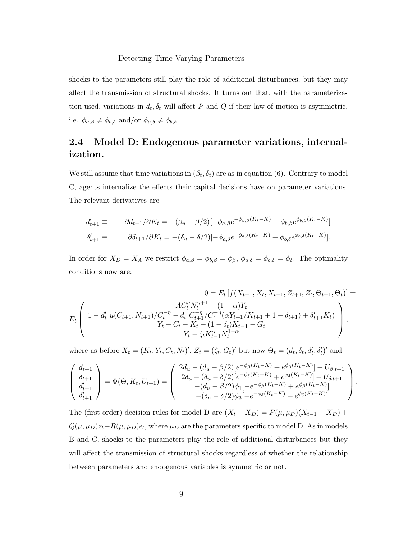shocks to the parameters still play the role of additional disturbances, but they may affect the transmission of structural shocks. It turns out that, with the parameterization used, variations in  $d_t, \delta_t$  will affect P and Q if their law of motion is asymmetric, i.e.  $\phi_{a,\beta} \neq \phi_{b,\delta}$  and/or  $\phi_{a,\delta} \neq \phi_{b,\delta}$ .

### 2.4 Model D: Endogenous parameter variations, internalization.

We still assume that time variations in  $(\beta_t, \delta_t)$  are as in equation (6). Contrary to model C, agents internalize the effects their capital decisions have on parameter variations. The relevant derivatives are

$$
d'_{t+1} \equiv \partial d_{t+1}/\partial K_t = -(\beta_u - \beta/2)[-\phi_{a,\beta}e^{-\phi_{a,\beta}(K_t - K)} + \phi_{b,\beta}e^{\phi_{b,\beta}(K_t - K)}]
$$
  

$$
\delta'_{t+1} \equiv \partial \delta_{t+1}/\partial K_t = -(\delta_u - \delta/2)[-\phi_{a,\delta}e^{-\phi_{a,\delta}(K_t - K)} + \phi_{b,\delta}e^{\phi_{b,\delta}(K_t - K)}].
$$

In order for  $X_D = X_A$  we restrict  $\phi_{a,\beta} = \phi_{b,\beta} = \phi_{\beta}, \ \phi_{a,\delta} = \phi_{b,\delta} = \phi_{\delta}$ . The optimality conditions now are:

$$
0 = E_t \left[ f(X_{t+1}, X_t, X_{t-1}, Z_{t+1}, Z_t, \Theta_{t+1}, \Theta_t) \right] =
$$
  
\n
$$
E_t \left( 1 - d_t' u(C_{t+1}, N_{t+1}) / C_t^{-\eta} - d_t C_{t+1}^{-\eta} / C_t^{-\eta} (\alpha Y_{t+1} / K_{t+1} + 1 - \delta_{t+1}) + \delta'_{t+1} K_t) \right),
$$
  
\n
$$
Y_t - C_t - K_t + (1 - \delta_t) K_{t-1} - G_t
$$
  
\n
$$
Y_t - \zeta_t K_{t-1}^{\alpha} N_t^{1-\alpha}
$$

where as before  $X_t = (K_t, Y_t, C_t, N_t)'$ ,  $Z_t = (\zeta_t, G_t)'$  but now  $\Theta_t = (d_t, \delta_t, d'_t, \delta'_t)'$  and

$$
\begin{pmatrix} d_{t+1} \\ \delta_{t+1} \\ d'_{t+1} \\ \delta'_{t+1} \end{pmatrix} = \Phi(\Theta, K_t, U_{t+1}) = \begin{pmatrix} 2d_u - (d_u - \beta/2)[e^{-\phi_{\beta}(K_t - K)} + e^{\phi_{\beta}(K_t - K)}] + U_{\beta, t+1} \\ 2\delta_u - (\delta_u - \delta/2)[e^{-\phi_{\delta}(K_t - K)} + e^{\phi_{\delta}(K_t - K)}] + U_{\delta, t+1} \\ -(d_u - \beta/2)\phi_1[-e^{-\phi_{\beta}(K_t - K)} + e^{\phi_{\beta}(K_t - K)}] \\ -(\delta_u - \delta/2)\phi_3[-e^{-\phi_{\delta}(K_t - K)} + e^{\phi_{\delta}(K_t - K)}] \end{pmatrix}.
$$

The (first order) decision rules for model D are  $(X_t - X_D) = P(\mu, \mu_D)(X_{t-1} - X_D)$  +  $Q(\mu, \mu_D)z_t + R(\mu, \mu_D)\epsilon_t$ , where  $\mu_D$  are the parameters specific to model D. As in models B and C, shocks to the parameters play the role of additional disturbances but they will affect the transmission of structural shocks regardless of whether the relationship between parameters and endogenous variables is symmetric or not.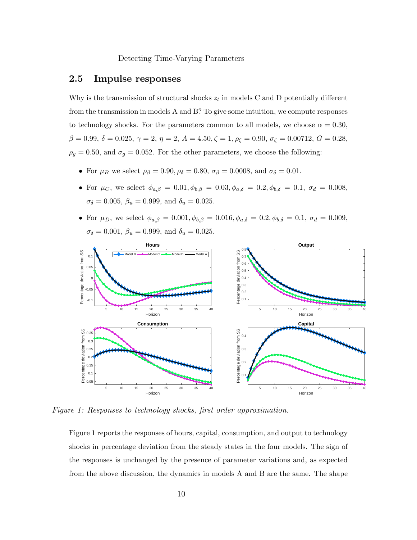### 2.5 Impulse responses

Why is the transmission of structural shocks  $z_t$  in models C and D potentially different from the transmission in models A and B? To give some intuition, we compute responses to technology shocks. For the parameters common to all models, we choose  $\alpha = 0.30$ ,  $\beta = 0.99, \delta = 0.025, \gamma = 2, \eta = 2, A = 4.50, \zeta = 1, \rho_{\zeta} = 0.90, \sigma_{\zeta} = 0.00712, G = 0.28,$  $\rho_g = 0.50$ , and  $\sigma_g = 0.052$ . For the other parameters, we choose the following:

- For  $\mu_B$  we select  $\rho_\beta = 0.90, \rho_\delta = 0.80, \sigma_\beta = 0.0008, \text{ and } \sigma_\delta = 0.01.$
- For  $\mu_C$ , we select  $\phi_{a,\beta} = 0.01, \phi_{b,\beta} = 0.03, \phi_{a,\delta} = 0.2, \phi_{b,\delta} = 0.1, \sigma_d = 0.008$ ,  $\sigma_{\delta} = 0.005, \, \beta_u = 0.999, \, \text{and} \, \, \delta_u = 0.025.$
- For  $\mu_D$ , we select  $\phi_{a,\beta} = 0.001, \phi_{b,\beta} = 0.016, \phi_{a,\delta} = 0.2, \phi_{b,\delta} = 0.1, \sigma_d = 0.009,$  $\sigma_{\delta} = 0.001, \, \beta_u = 0.999, \, \text{and} \, \, \delta_u = 0.025.$



Figure 1: Responses to technology shocks, first order approximation.

Figure 1 reports the responses of hours, capital, consumption, and output to technology shocks in percentage deviation from the steady states in the four models. The sign of the responses is unchanged by the presence of parameter variations and, as expected from the above discussion, the dynamics in models A and B are the same. The shape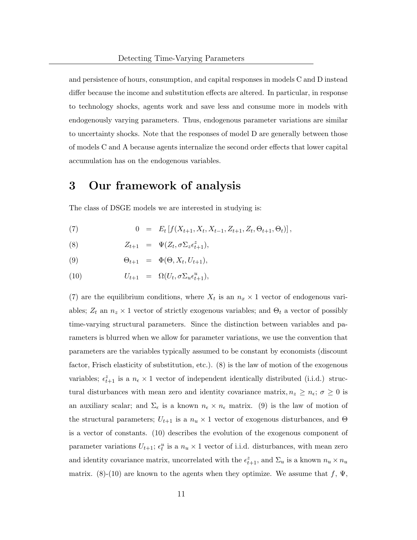and persistence of hours, consumption, and capital responses in models C and D instead differ because the income and substitution effects are altered. In particular, in response to technology shocks, agents work and save less and consume more in models with endogenously varying parameters. Thus, endogenous parameter variations are similar to uncertainty shocks. Note that the responses of model D are generally between those of models C and A because agents internalize the second order effects that lower capital accumulation has on the endogenous variables.

# 3 Our framework of analysis

The class of DSGE models we are interested in studying is:

(7) 
$$
0 = E_t [f(X_{t+1}, X_t, X_{t-1}, Z_{t+1}, Z_t, \Theta_{t+1}, \Theta_t)],
$$

(8)  $Z_{t+1} = \Psi(Z_t, \sigma \Sigma_z \epsilon_{t+1}^z),$ 

$$
(9) \qquad \Theta_{t+1} = \Phi(\Theta, X_t, U_{t+1}),
$$

(10) 
$$
U_{t+1} = \Omega(U_t, \sigma \Sigma_u \epsilon_{t+1}^u),
$$

(7) are the equilibrium conditions, where  $X_t$  is an  $n_x \times 1$  vector of endogenous variables;  $Z_t$  an  $n_z \times 1$  vector of strictly exogenous variables; and  $\Theta_t$  a vector of possibly time-varying structural parameters. Since the distinction between variables and parameters is blurred when we allow for parameter variations, we use the convention that parameters are the variables typically assumed to be constant by economists (discount factor, Frisch elasticity of substitution, etc.). (8) is the law of motion of the exogenous variables;  $\epsilon_{t+1}^z$  is a  $n_{\epsilon} \times 1$  vector of independent identically distributed (i.i.d.) structural disturbances with mean zero and identity covariance matrix,  $n_z \geq n_{\epsilon}$ ;  $\sigma \geq 0$  is an auxiliary scalar; and  $\Sigma_{\epsilon}$  is a known  $n_{\epsilon} \times n_{\epsilon}$  matrix. (9) is the law of motion of the structural parameters;  $U_{t+1}$  is a  $n_u \times 1$  vector of exogenous disturbances, and  $\Theta$ is a vector of constants. (10) describes the evolution of the exogenous component of parameter variations  $U_{t+1}$ ;  $\epsilon_t^u$  is a  $n_u \times 1$  vector of i.i.d. disturbances, with mean zero and identity covariance matrix, uncorrelated with the  $\epsilon_{t+1}^z$ , and  $\Sigma_u$  is a known  $n_u \times n_u$ matrix. (8)-(10) are known to the agents when they optimize. We assume that  $f, \Psi$ ,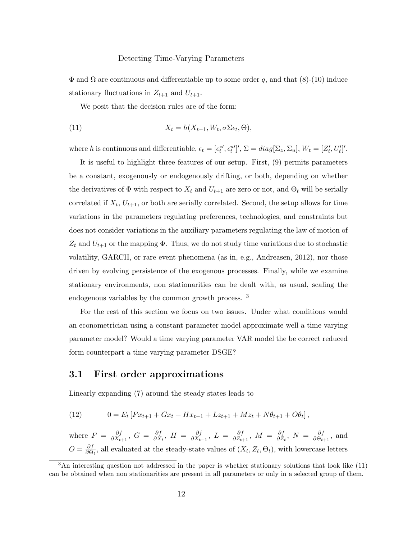$\Phi$  and  $\Omega$  are continuous and differentiable up to some order q, and that (8)-(10) induce stationary fluctuations in  $Z_{t+1}$  and  $U_{t+1}$ .

We posit that the decision rules are of the form:

(11) 
$$
X_t = h(X_{t-1}, W_t, \sigma \Sigma \epsilon_t, \Theta),
$$

where h is continuous and differentiable,  $\epsilon_t = [\epsilon_t^{z\prime}, \epsilon_t^{u\prime}]', \Sigma = diag[\Sigma_z, \Sigma_u], W_t = [Z_t\prime, U_t']'.$ 

It is useful to highlight three features of our setup. First, (9) permits parameters be a constant, exogenously or endogenously drifting, or both, depending on whether the derivatives of  $\Phi$  with respect to  $X_t$  and  $U_{t+1}$  are zero or not, and  $\Theta_t$  will be serially correlated if  $X_t$ ,  $U_{t+1}$ , or both are serially correlated. Second, the setup allows for time variations in the parameters regulating preferences, technologies, and constraints but does not consider variations in the auxiliary parameters regulating the law of motion of  $Z_t$  and  $U_{t+1}$  or the mapping  $\Phi$ . Thus, we do not study time variations due to stochastic volatility, GARCH, or rare event phenomena (as in, e.g., Andreasen, 2012), nor those driven by evolving persistence of the exogenous processes. Finally, while we examine stationary environments, non stationarities can be dealt with, as usual, scaling the endogenous variables by the common growth process. <sup>3</sup>

For the rest of this section we focus on two issues. Under what conditions would an econometrician using a constant parameter model approximate well a time varying parameter model? Would a time varying parameter VAR model the be correct reduced form counterpart a time varying parameter DSGE?

#### 3.1 First order approximations

Linearly expanding (7) around the steady states leads to

(12) 
$$
0 = E_t \left[ F x_{t+1} + G x_t + H x_{t-1} + L z_{t+1} + M z_t + N \theta_{t+1} + O \theta_t \right],
$$

where  $F = \frac{\partial f}{\partial X_i}$  $\frac{\partial f}{\partial X_{t+1}},\ G\ =\ \frac{\partial f}{\partial X}$  $\frac{\partial f}{\partial X_t},\ H\ =\ \frac{\partial f}{\partial X_t}.$  $\frac{\partial f}{\partial X_{t-1}},\ L\,=\,\frac{\partial f}{\partial Z_{t-1}}$  $\frac{\partial f}{\partial Z_{t+1}},\ M\,=\,\frac{\partial f}{\partial Z}$  $\frac{\partial f}{\partial Z_t},\ N = \frac{\partial f}{\partial \Theta_t}$  $\frac{\partial f}{\partial \Theta_{t+1}},$  and  $O = \frac{\partial f}{\partial \Theta}$  $\frac{\partial f}{\partial \Theta_t}$ , all evaluated at the steady-state values of  $(X_t, Z_t, \Theta_t)$ , with lowercase letters

 $\overline{3}$ An interesting question not addressed in the paper is whether stationary solutions that look like (11) can be obtained when non stationarities are present in all parameters or only in a selected group of them.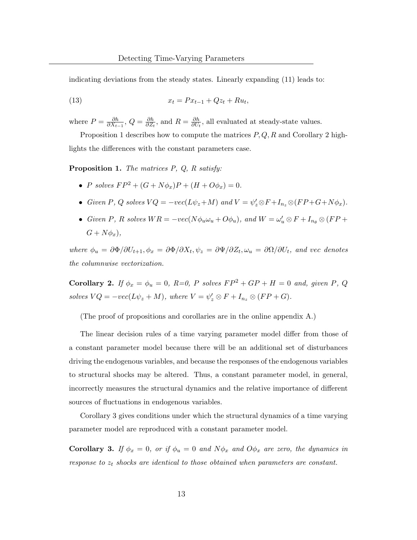indicating deviations from the steady states. Linearly expanding (11) leads to:

(13) 
$$
x_t = Px_{t-1} + Qz_t + Ru_t,
$$

where  $P = \frac{\partial h}{\partial X_i}$  $\frac{\partial h}{\partial X_{t-1}},\, Q=\frac{\partial h}{\partial Z_t}$  $\frac{\partial h}{\partial Z_t}$ , and  $R = \frac{\partial h}{\partial U_i}$  $\frac{\partial h}{\partial U_t}$ , all evaluated at steady-state values.

Proposition 1 describes how to compute the matrices  $P, Q, R$  and Corollary 2 highlights the differences with the constant parameters case.

Proposition 1. The matrices P, Q, R satisfy:

- P solves  $FP^2 + (G + N\phi_x)P + (H + O\phi_x) = 0$ .
- Given P, Q solves  $VQ = -\text{vec}(L\psi_z + M)$  and  $V = \psi'_z \otimes F + I_{n_z} \otimes (FP + G + N\phi_x)$ .
- Given P, R solves  $WR = -vec(N\phi_u\omega_u + O\phi_u)$ , and  $W = \omega'_u \otimes F + I_{n_\theta} \otimes (FP + O\phi_u)$  $G + N\phi_x$ ),

where  $\phi_u = \partial \Phi / \partial U_{t+1}, \phi_x = \partial \Phi / \partial X_t, \psi_z = \partial \Psi / \partial Z_t, \omega_u = \partial \Omega / \partial U_t$ , and vec denotes the columnwise vectorization.

Corollary 2. If  $\phi_x = \phi_u = 0$ , R=0, P solves  $FP^2 + GP + H = 0$  and, given P, Q solves  $VQ = -\text{vec}(L\psi_z + M)$ , where  $V = \psi_z' \otimes F + I_{n_z} \otimes (FP + G)$ .

(The proof of propositions and corollaries are in the online appendix A.)

The linear decision rules of a time varying parameter model differ from those of a constant parameter model because there will be an additional set of disturbances driving the endogenous variables, and because the responses of the endogenous variables to structural shocks may be altered. Thus, a constant parameter model, in general, incorrectly measures the structural dynamics and the relative importance of different sources of fluctuations in endogenous variables.

Corollary 3 gives conditions under which the structural dynamics of a time varying parameter model are reproduced with a constant parameter model.

**Corollary 3.** If  $\phi_x = 0$ , or if  $\phi_u = 0$  and  $N\phi_x$  and  $O\phi_x$  are zero, the dynamics in response to  $z_t$  shocks are identical to those obtained when parameters are constant.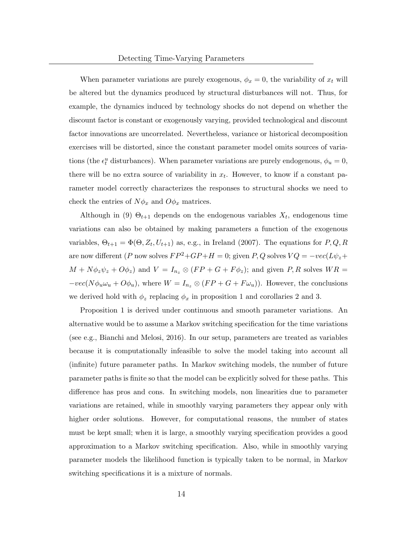When parameter variations are purely exogenous,  $\phi_x = 0$ , the variability of  $x_t$  will be altered but the dynamics produced by structural disturbances will not. Thus, for example, the dynamics induced by technology shocks do not depend on whether the discount factor is constant or exogenously varying, provided technological and discount factor innovations are uncorrelated. Nevertheless, variance or historical decomposition exercises will be distorted, since the constant parameter model omits sources of variations (the  $\epsilon_t^u$  disturbances). When parameter variations are purely endogenous,  $\phi_u = 0$ , there will be no extra source of variability in  $x_t$ . However, to know if a constant parameter model correctly characterizes the responses to structural shocks we need to check the entries of  $N\phi_x$  and  $O\phi_x$  matrices.

Although in (9)  $\Theta_{t+1}$  depends on the endogenous variables  $X_t$ , endogenous time variations can also be obtained by making parameters a function of the exogenous variables,  $\Theta_{t+1} = \Phi(\Theta, Z_t, U_{t+1})$  as, e.g., in Ireland (2007). The equations for  $P, Q, R$ are now different (P now solves  $FP^2+GP+H=0$ ; given P, Q solves  $VQ = -\text{vec}(L\psi_z +$  $M + N\phi_z\psi_z + O\phi_z$ ) and  $V = I_{n_z} \otimes (FP + G + F\phi_z)$ ; and given P, R solves  $WR =$  $-vec(N\phi_u\omega_u + O\phi_u)$ , where  $W = I_{n_z} \otimes (FP + G + F\omega_u)$ . However, the conclusions we derived hold with  $\phi_z$  replacing  $\phi_x$  in proposition 1 and corollaries 2 and 3.

Proposition 1 is derived under continuous and smooth parameter variations. An alternative would be to assume a Markov switching specification for the time variations (see e.g., Bianchi and Melosi, 2016). In our setup, parameters are treated as variables because it is computationally infeasible to solve the model taking into account all (infinite) future parameter paths. In Markov switching models, the number of future parameter paths is finite so that the model can be explicitly solved for these paths. This difference has pros and cons. In switching models, non linearities due to parameter variations are retained, while in smoothly varying parameters they appear only with higher order solutions. However, for computational reasons, the number of states must be kept small; when it is large, a smoothly varying specification provides a good approximation to a Markov switching specification. Also, while in smoothly varying parameter models the likelihood function is typically taken to be normal, in Markov switching specifications it is a mixture of normals.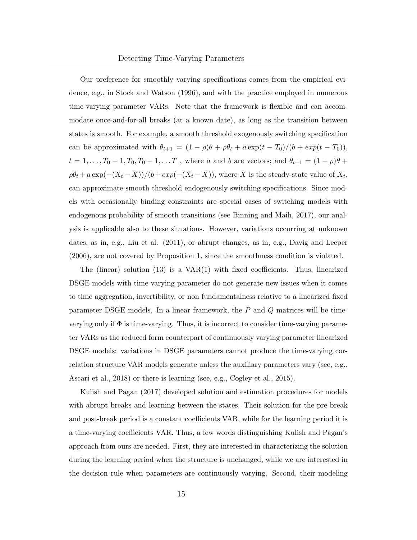Our preference for smoothly varying specifications comes from the empirical evidence, e.g., in Stock and Watson (1996), and with the practice employed in numerous time-varying parameter VARs. Note that the framework is flexible and can accommodate once-and-for-all breaks (at a known date), as long as the transition between states is smooth. For example, a smooth threshold exogenously switching specification can be approximated with  $\theta_{t+1} = (1 - \rho)\theta + \rho\theta_t + a \exp(t - T_0)/(b + \exp(t - T_0)),$  $t = 1, \ldots, T_0 - 1, T_0, T_0 + 1, \ldots T$ , where a and b are vectors; and  $\theta_{t+1} = (1 - \rho)\theta +$  $\rho \theta_t + a \exp(-(X_t - X))/(b + exp(-(X_t - X))$ , where X is the steady-state value of  $X_t$ , can approximate smooth threshold endogenously switching specifications. Since models with occasionally binding constraints are special cases of switching models with endogenous probability of smooth transitions (see Binning and Maih, 2017), our analysis is applicable also to these situations. However, variations occurring at unknown dates, as in, e.g., Liu et al. (2011), or abrupt changes, as in, e.g., Davig and Leeper (2006), are not covered by Proposition 1, since the smoothness condition is violated.

The (linear) solution (13) is a VAR(1) with fixed coefficients. Thus, linearized DSGE models with time-varying parameter do not generate new issues when it comes to time aggregation, invertibility, or non fundamentalness relative to a linearized fixed parameter DSGE models. In a linear framework, the P and Q matrices will be timevarying only if  $\Phi$  is time-varying. Thus, it is incorrect to consider time-varying parameter VARs as the reduced form counterpart of continuously varying parameter linearized DSGE models: variations in DSGE parameters cannot produce the time-varying correlation structure VAR models generate unless the auxiliary parameters vary (see, e.g., Ascari et al., 2018) or there is learning (see, e.g., Cogley et al., 2015).

Kulish and Pagan (2017) developed solution and estimation procedures for models with abrupt breaks and learning between the states. Their solution for the pre-break and post-break period is a constant coefficients VAR, while for the learning period it is a time-varying coefficients VAR. Thus, a few words distinguishing Kulish and Pagan's approach from ours are needed. First, they are interested in characterizing the solution during the learning period when the structure is unchanged, while we are interested in the decision rule when parameters are continuously varying. Second, their modeling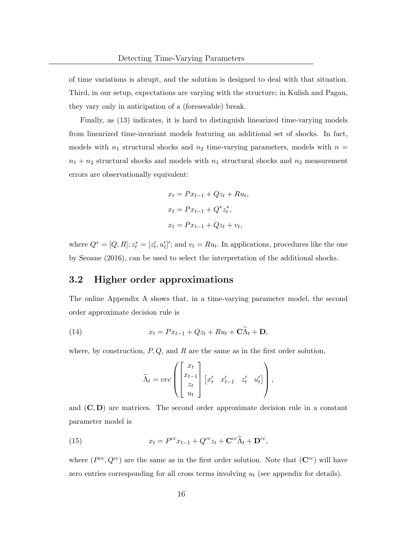of time variations is abrupt, and the solution is designed to deal with that situation. Third, in our setup, expectations are varying with the structure; in Kulish and Pagan, they vary only in anticipation of a (foreseeable) break.

Finally, as (13) indicates, it is hard to distinguish linearized time-varying models from linearized time-invariant models featuring an additional set of shocks. In fact, models with  $n_1$  structural shocks and  $n_2$  time-varying parameters, models with  $n =$  $n_1 + n_2$  structural shocks and models with  $n_1$  structural shocks and  $n_2$  measurement errors are observationally equivalent:

$$
x_t = Px_{t-1} + Qz_t + Ru_t,
$$
  
\n
$$
x_t = Px_{t-1} + Q^*z_t^*,
$$
  
\n
$$
x_t = Px_{t-1} + Qz_t + v_t,
$$

where  $Q^* = [Q, R]; z_t^* = [z_t', u_t']';$  and  $v_t = Ru_t$ . In applications, procedures like the one by Seoane (2016), can be used to select the interpretation of the additional shocks.

### 3.2 Higher order approximations

The online Appendix A shows that, in a time-varying parameter model, the second order approximate decision rule is

(14) 
$$
x_t = Px_{t-1} + Qz_t + Ru_t + C\tilde{\Lambda}_t + D,
$$

where, by construction,  $P, Q$ , and  $R$  are the same as in the first order solution,

$$
\widetilde{\Lambda}_t = vec\left(\begin{bmatrix} x_t \\ x_{t-1} \\ z_t \\ u_t \end{bmatrix} \begin{bmatrix} x'_t & x'_{t-1} & z'_t & u'_t \end{bmatrix}\right),
$$

and  $(C, D)$  are matrices. The second order approximate decision rule in a constant parameter model is

(15) 
$$
x_t = P^{cc} x_{t-1} + Q^{cc} z_t + \mathbf{C}^{cc} \widetilde{\Lambda}_t + \mathbf{D}^{cc},
$$

where  $(P^{cc}, Q^{cc})$  are the same as in the first order solution. Note that  $(\mathbf{C}^{cc})$  will have zero entries corresponding for all cross terms involving  $u_t$  (see appendix for details).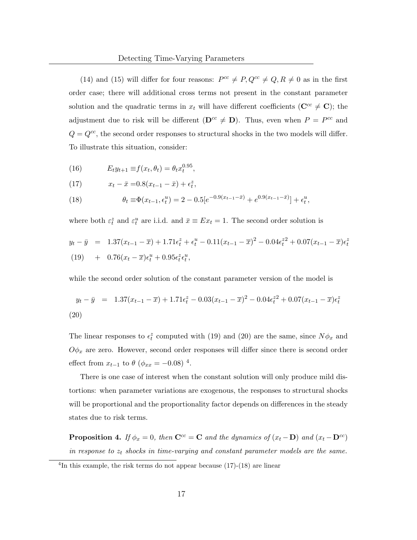(14) and (15) will differ for four reasons:  $P^{cc} \neq P$ ,  $Q^{cc} \neq Q$ ,  $R \neq 0$  as in the first order case; there will additional cross terms not present in the constant parameter solution and the quadratic terms in  $x_t$  will have different coefficients ( $\mathbf{C}^{cc} \neq \mathbf{C}$ ); the adjustment due to risk will be different  $(D^{cc} \neq D)$ . Thus, even when  $P = P^{cc}$  and  $Q = Q^{cc}$ , the second order responses to structural shocks in the two models will differ. To illustrate this situation, consider:

(16) 
$$
E_t y_{t+1} \equiv f(x_t, \theta_t) = \theta_t x_t^{0.95},
$$

(17) 
$$
x_t - \bar{x} = 0.8(x_{t-1} - \bar{x}) + \epsilon_t^z,
$$

(18) 
$$
\theta_t \equiv \Phi(x_{t-1}, \epsilon_t^u) = 2 - 0.5[e^{-0.9(x_{t-1} - \bar{x})} + e^{0.9(x_{t-1} - \bar{x})}] + \epsilon_t^u,
$$

where both  $\varepsilon_t^z$  and  $\varepsilon_t^u$  are i.i.d. and  $\bar{x} \equiv Ex_t = 1$ . The second order solution is

$$
y_t - \bar{y} = 1.37(x_{t-1} - \bar{x}) + 1.71\epsilon_t^2 + \epsilon_t^u - 0.11(x_{t-1} - \bar{x})^2 - 0.04\epsilon_t^{22} + 0.07(x_{t-1} - \bar{x})\epsilon_t^2
$$
  
(19) + 0.76(x\_t - \bar{x})\epsilon\_t^u + 0.95\epsilon\_t^z \epsilon\_t^u,

while the second order solution of the constant parameter version of the model is

$$
y_t - \bar{y} = 1.37(x_{t-1} - \bar{x}) + 1.71\epsilon_t^2 - 0.03(x_{t-1} - \bar{x})^2 - 0.04\epsilon_t^{22} + 0.07(x_{t-1} - \bar{x})\epsilon_t^2
$$
\n(20)

The linear responses to  $\epsilon_t^z$  computed with (19) and (20) are the same, since  $N\phi_x$  and  $O\phi_x$  are zero. However, second order responses will differ since there is second order effect from  $x_{t-1}$  to  $\theta$  ( $\phi_{xx} = -0.08$ )<sup>4</sup>.

There is one case of interest when the constant solution will only produce mild distortions: when parameter variations are exogenous, the responses to structural shocks will be proportional and the proportionality factor depends on differences in the steady states due to risk terms.

**Proposition 4.** If  $\phi_x = 0$ , then  $\mathbf{C}^{cc} = \mathbf{C}$  and the dynamics of  $(x_t - \mathbf{D})$  and  $(x_t - \mathbf{D}^{cc})$ in response to  $z_t$  shocks in time-varying and constant parameter models are the same.

<sup>&</sup>lt;sup>4</sup>In this example, the risk terms do not appear because (17)-(18) are linear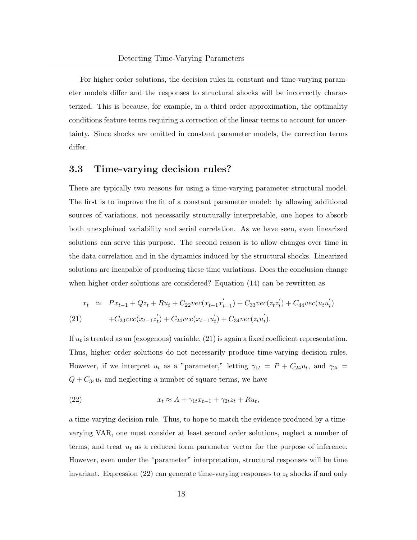For higher order solutions, the decision rules in constant and time-varying parameter models differ and the responses to structural shocks will be incorrectly characterized. This is because, for example, in a third order approximation, the optimality conditions feature terms requiring a correction of the linear terms to account for uncertainty. Since shocks are omitted in constant parameter models, the correction terms differ.

#### 3.3 Time-varying decision rules?

There are typically two reasons for using a time-varying parameter structural model. The first is to improve the fit of a constant parameter model: by allowing additional sources of variations, not necessarily structurally interpretable, one hopes to absorb both unexplained variability and serial correlation. As we have seen, even linearized solutions can serve this purpose. The second reason is to allow changes over time in the data correlation and in the dynamics induced by the structural shocks. Linearized solutions are incapable of producing these time variations. Does the conclusion change when higher order solutions are considered? Equation (14) can be rewritten as

$$
x_t \simeq Px_{t-1} + Qz_t + Ru_t + C_{22}vec(x_{t-1}x'_{t-1}) + C_{33}vec(z_tz'_t) + C_{44}vec(u_t') + C_{23}vec(x_{t-1}z'_t) + C_{24}vec(x_{t-1}u'_t) + C_{34}vec(z_tu'_t).
$$
\n(21)

If  $u_t$  is treated as an (exogenous) variable, (21) is again a fixed coefficient representation. Thus, higher order solutions do not necessarily produce time-varying decision rules. However, if we interpret  $u_t$  as a "parameter," letting  $\gamma_{1t} = P + C_{24}u_t$ , and  $\gamma_{2t} =$  $Q + C_{34}u_t$  and neglecting a number of square terms, we have

(22) 
$$
x_t \approx A + \gamma_{1t} x_{t-1} + \gamma_{2t} z_t + R u_t,
$$

a time-varying decision rule. Thus, to hope to match the evidence produced by a timevarying VAR, one must consider at least second order solutions, neglect a number of terms, and treat  $u_t$  as a reduced form parameter vector for the purpose of inference. However, even under the "parameter" interpretation, structural responses will be time invariant. Expression (22) can generate time-varying responses to  $z_t$  shocks if and only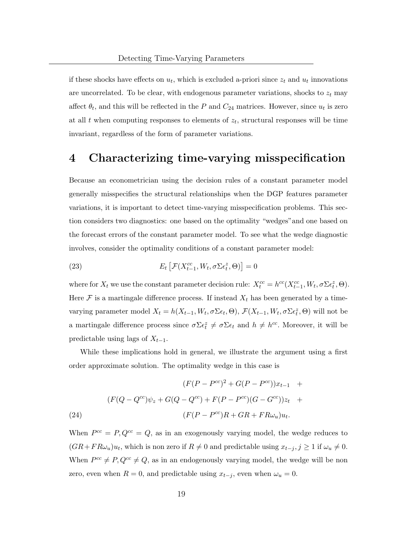if these shocks have effects on  $u_t$ , which is excluded a-priori since  $z_t$  and  $u_t$  innovations are uncorrelated. To be clear, with endogenous parameter variations, shocks to  $z_t$  may affect  $\theta_t$ , and this will be reflected in the P and  $C_{24}$  matrices. However, since  $u_t$  is zero at all  $t$  when computing responses to elements of  $z_t$ , structural responses will be time invariant, regardless of the form of parameter variations.

### 4 Characterizing time-varying misspecification

Because an econometrician using the decision rules of a constant parameter model generally misspecifies the structural relationships when the DGP features parameter variations, it is important to detect time-varying misspecification problems. This section considers two diagnostics: one based on the optimality "wedges"and one based on the forecast errors of the constant parameter model. To see what the wedge diagnostic involves, consider the optimality conditions of a constant parameter model:

(23) 
$$
E_t\left[\mathcal{F}(X_{t-1}^{cc}, W_t, \sigma\Sigma\epsilon_t^z, \Theta)\right] = 0
$$

where for  $X_t$  we use the constant parameter decision rule:  $X_t^{cc} = h^{cc}(X_{t-1}^{cc}, W_t, \sigma\Sigma \epsilon_t^z, \Theta)$ . Here  $\mathcal F$  is a martingale difference process. If instead  $X_t$  has been generated by a timevarying parameter model  $X_t = h(X_{t-1}, W_t, \sigma \Sigma \epsilon_t, \Theta), \mathcal{F}(X_{t-1}, W_t, \sigma \Sigma \epsilon_t^z, \Theta)$  will not be a martingale difference process since  $\sigma \Sigma \epsilon_t^z \neq \sigma \Sigma \epsilon_t$  and  $h \neq h^{cc}$ . Moreover, it will be predictable using lags of  $X_{t-1}$ .

While these implications hold in general, we illustrate the argument using a first order approximate solution. The optimality wedge in this case is

(24)  
\n
$$
(F(P - P^{cc})^{2} + G(P - P^{cc}))x_{t-1} + F(Q - Q^{cc})\psi_{z} + G(Q - Q^{cc}) + F(P - P^{cc})(G - G^{cc}))z_{t} + F(Q - P^{cc})R + GR + FR\omega_{u})u_{t}.
$$

When  $P^{cc} = P, Q^{cc} = Q$ , as in an exogenously varying model, the wedge reduces to  $(GR+FR\omega_u)u_t$ , which is non zero if  $R \neq 0$  and predictable using  $x_{t-j}, j \geq 1$  if  $\omega_u \neq 0$ . When  $P^{cc} \neq P$ ,  $Q^{cc} \neq Q$ , as in an endogenously varying model, the wedge will be non zero, even when  $R = 0$ , and predictable using  $x_{t-j}$ , even when  $\omega_u = 0$ .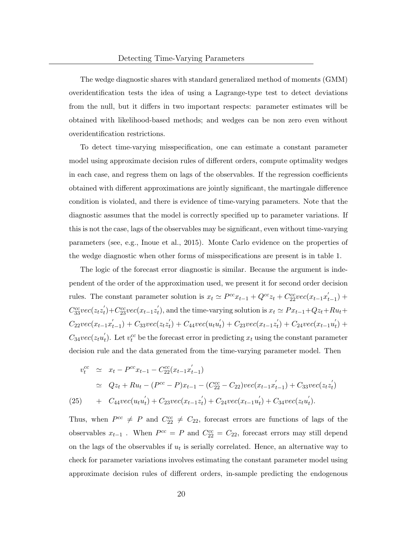The wedge diagnostic shares with standard generalized method of moments (GMM) overidentification tests the idea of using a Lagrange-type test to detect deviations from the null, but it differs in two important respects: parameter estimates will be obtained with likelihood-based methods; and wedges can be non zero even without overidentification restrictions.

To detect time-varying misspecification, one can estimate a constant parameter model using approximate decision rules of different orders, compute optimality wedges in each case, and regress them on lags of the observables. If the regression coefficients obtained with different approximations are jointly significant, the martingale difference condition is violated, and there is evidence of time-varying parameters. Note that the diagnostic assumes that the model is correctly specified up to parameter variations. If this is not the case, lags of the observables may be significant, even without time-varying parameters (see, e.g., Inoue et al., 2015). Monte Carlo evidence on the properties of the wedge diagnostic when other forms of misspecifications are present is in table 1.

The logic of the forecast error diagnostic is similar. Because the argument is independent of the order of the approximation used, we present it for second order decision rules. The constant parameter solution is  $x_t \simeq P^{cc} x_{t-1} + Q^{cc} z_t + C_{22}^{cc} vec(x_{t-1} x_t')$  $_{t-1}^{'}$ ) +  $C_{33}^{cc}vec(z_t z'_t) + C_{23}^{cc}vec(x_{t-1} z'_t)$ , and the time-varying solution is  $x_t \simeq Px_{t-1} + Qz_t + Ru_t +$  $C_{22}vec(x_{t-1}x_{t}^{'})$  $t_{t-1}$ ) +  $C_{33}vec(z_t z_t')$  +  $C_{44}vec(u_t' + C_{23}vec(x_{t-1}z_t') + C_{24}vec(x_{t-1}u_t') + C_{34}vec(z_{t-1}z_t')$  $C_{34}vec(z_t u'_t)$ . Let  $v_t^{cc}$  be the forecast error in predicting  $x_t$  using the constant parameter decision rule and the data generated from the time-varying parameter model. Then

$$
v_t^{cc} \simeq x_t - P^{cc} x_{t-1} - C_{22}^{cc} (x_{t-1} x'_{t-1})
$$
  
\n
$$
\simeq Qz_t + Ru_t - (P^{cc} - P)x_{t-1} - (C_{22}^{cc} - C_{22}) \text{vec}(x_{t-1} x'_{t-1}) + C_{33} \text{vec}(z_t z'_t)
$$
  
\n
$$
(25) + C_{44} \text{vec}(u_t u'_t) + C_{23} \text{vec}(x_{t-1} z'_t) + C_{24} \text{vec}(x_{t-1} u'_t) + C_{34} \text{vec}(z_t u'_t).
$$

Thus, when  $P^{cc} \neq P$  and  $C_{22}^{cc} \neq C_{22}$ , forecast errors are functions of lags of the observables  $x_{t-1}$ . When  $P^{cc} = P$  and  $C_{22}^{cc} = C_{22}$ , forecast errors may still depend on the lags of the observables if  $u_t$  is serially correlated. Hence, an alternative way to check for parameter variations involves estimating the constant parameter model using approximate decision rules of different orders, in-sample predicting the endogenous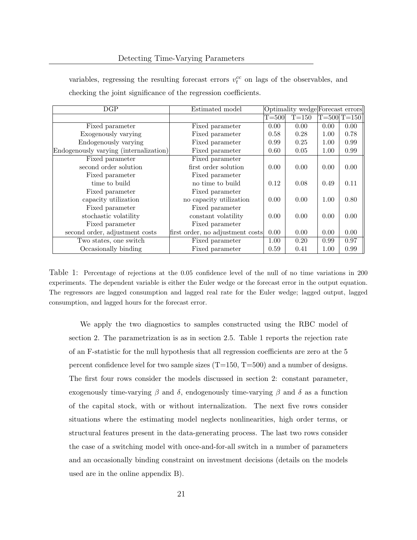| DGP                                    | Estimated model                  | Optimality wedge Forecast errors |         |      |                     |
|----------------------------------------|----------------------------------|----------------------------------|---------|------|---------------------|
|                                        |                                  | $T = 500$                        | $T=150$ |      | $T = 500$ $T = 150$ |
| Fixed parameter                        | Fixed parameter                  | 0.00                             | 0.00    | 0.00 | 0.00                |
| Exogenously varying                    | Fixed parameter                  | 0.58                             | 0.28    | 1.00 | 0.78                |
| Endogenously varying                   | Fixed parameter                  | 0.99                             | 0.25    | 1.00 | 0.99                |
| Endogenously varying (internalization) | Fixed parameter                  | 0.60                             | 0.05    | 1.00 | 0.99                |
| Fixed parameter                        | Fixed parameter                  |                                  |         |      |                     |
| second order solution                  | first order solution             | 0.00                             | 0.00    | 0.00 | 0.00                |
| Fixed parameter                        | Fixed parameter                  |                                  |         |      |                     |
| time to build                          | no time to build                 | 0.12                             | 0.08    | 0.49 | 0.11                |
| Fixed parameter                        | Fixed parameter                  |                                  |         |      |                     |
| capacity utilization                   | no capacity utilization          | 0.00                             | 0.00    | 1.00 | 0.80                |
| Fixed parameter                        | Fixed parameter                  |                                  |         |      |                     |
| stochastic volatility                  | constant volatility              | 0.00                             | 0.00    | 0.00 | 0.00                |
| Fixed parameter                        | Fixed parameter                  |                                  |         |      |                     |
| second order, adjustment costs         | first order, no adjustment costs | 0.00                             | 0.00    | 0.00 | 0.00                |
| Two states, one switch                 | Fixed parameter                  | 1.00                             | 0.20    | 0.99 | 0.97                |
| Occasionally binding                   | Fixed parameter                  | 0.59                             | 0.41    | 1.00 | 0.99                |

variables, regressing the resulting forecast errors  $v_t^{cc}$  on lags of the observables, and checking the joint significance of the regression coefficients.

Table 1: Percentage of rejections at the 0.05 confidence level of the null of no time variations in 200 experiments. The dependent variable is either the Euler wedge or the forecast error in the output equation. The regressors are lagged consumption and lagged real rate for the Euler wedge; lagged output, lagged consumption, and lagged hours for the forecast error.

We apply the two diagnostics to samples constructed using the RBC model of section 2. The parametrization is as in section 2.5. Table 1 reports the rejection rate of an F-statistic for the null hypothesis that all regression coefficients are zero at the 5 percent confidence level for two sample sizes  $(T=150, T=500)$  and a number of designs. The first four rows consider the models discussed in section 2: constant parameter, exogenously time-varying  $\beta$  and  $\delta$ , endogenously time-varying  $\beta$  and  $\delta$  as a function of the capital stock, with or without internalization. The next five rows consider situations where the estimating model neglects nonlinearities, high order terms, or structural features present in the data-generating process. The last two rows consider the case of a switching model with once-and-for-all switch in a number of parameters and an occasionally binding constraint on investment decisions (details on the models used are in the online appendix B).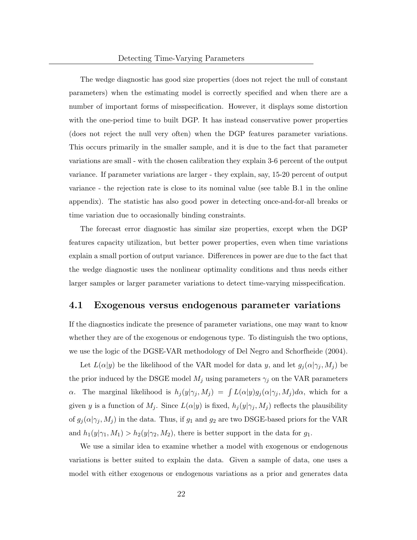The wedge diagnostic has good size properties (does not reject the null of constant parameters) when the estimating model is correctly specified and when there are a number of important forms of misspecification. However, it displays some distortion with the one-period time to built DGP. It has instead conservative power properties (does not reject the null very often) when the DGP features parameter variations. This occurs primarily in the smaller sample, and it is due to the fact that parameter variations are small - with the chosen calibration they explain 3-6 percent of the output variance. If parameter variations are larger - they explain, say, 15-20 percent of output variance - the rejection rate is close to its nominal value (see table B.1 in the online appendix). The statistic has also good power in detecting once-and-for-all breaks or time variation due to occasionally binding constraints.

The forecast error diagnostic has similar size properties, except when the DGP features capacity utilization, but better power properties, even when time variations explain a small portion of output variance. Differences in power are due to the fact that the wedge diagnostic uses the nonlinear optimality conditions and thus needs either larger samples or larger parameter variations to detect time-varying misspecification.

#### 4.1 Exogenous versus endogenous parameter variations

If the diagnostics indicate the presence of parameter variations, one may want to know whether they are of the exogenous or endogenous type. To distinguish the two options, we use the logic of the DGSE-VAR methodology of Del Negro and Schorfheide (2004).

Let  $L(\alpha|y)$  be the likelihood of the VAR model for data y, and let  $g_j(\alpha|\gamma_j, M_j)$  be the prior induced by the DSGE model  $M_j$  using parameters  $\gamma_j$  on the VAR parameters α. The marginal likelihood is  $h_j(y|\gamma_j, M_j) = \int L(\alpha|y)g_j(\alpha|\gamma_j, M_j)d\alpha$ , which for a given y is a function of  $M_j$ . Since  $L(\alpha|y)$  is fixed,  $h_j(y|\gamma_j, M_j)$  reflects the plausibility of  $g_j(\alpha|\gamma_j,M_j)$  in the data. Thus, if  $g_1$  and  $g_2$  are two DSGE-based priors for the VAR and  $h_1(y|\gamma_1, M_1) > h_2(y|\gamma_2, M_2)$ , there is better support in the data for  $g_1$ .

We use a similar idea to examine whether a model with exogenous or endogenous variations is better suited to explain the data. Given a sample of data, one uses a model with either exogenous or endogenous variations as a prior and generates data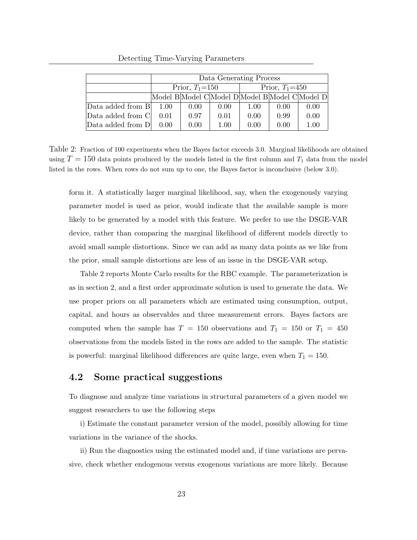|                   | Data Generating Process |      |      |      |                  |                                                 |
|-------------------|-------------------------|------|------|------|------------------|-------------------------------------------------|
|                   | Prior, $T_1=150$        |      |      |      | Prior, $T_1=450$ |                                                 |
|                   |                         |      |      |      |                  | Model B Model C Model D Model B Model C Model D |
| Data added from B | 1.00                    | 0.00 | 0.00 | 1.00 | 0.00             | 0.00                                            |
| Data added from C | 0.01                    | 0.97 | 0.01 | 0.00 | 0.99             | 0.00                                            |
| Data added from D | 0.00                    | 0.00 | 1.00 | 0.00 | 0.00             | 1.00                                            |

Detecting Time-Varying Parameters

Table 2: Fraction of 100 experiments when the Bayes factor exceeds 3.0. Marginal likelihoods are obtained using  $T = 150$  data points produced by the models listed in the first column and  $T_1$  data from the model listed in the rows. When rows do not sum up to one, the Bayes factor is inconclusive (below 3.0).

form it. A statistically larger marginal likelihood, say, when the exogenously varying parameter model is used as prior, would indicate that the available sample is more likely to be generated by a model with this feature. We prefer to use the DSGE-VAR device, rather than comparing the marginal likelihood of different models directly to avoid small sample distortions. Since we can add as many data points as we like from the prior, small sample distortions are less of an issue in the DSGE-VAR setup.

Table 2 reports Monte Carlo results for the RBC example. The parameterization is as in section 2, and a first order approximate solution is used to generate the data. We use proper priors on all parameters which are estimated using consumption, output, capital, and hours as observables and three measurement errors. Bayes factors are computed when the sample has  $T = 150$  observations and  $T_1 = 150$  or  $T_1 = 450$ observations from the models listed in the rows are added to the sample. The statistic is powerful: marginal likelihood differences are quite large, even when  $T_1 = 150$ .

### 4.2 Some practical suggestions

To diagnose and analyze time variations in structural parameters of a given model we suggest researchers to use the following steps

i) Estimate the constant parameter version of the model, possibly allowing for time variations in the variance of the shocks.

ii) Run the diagnostics using the estimated model and, if time variations are pervasive, check whether endogenous versus exogenous variations are more likely. Because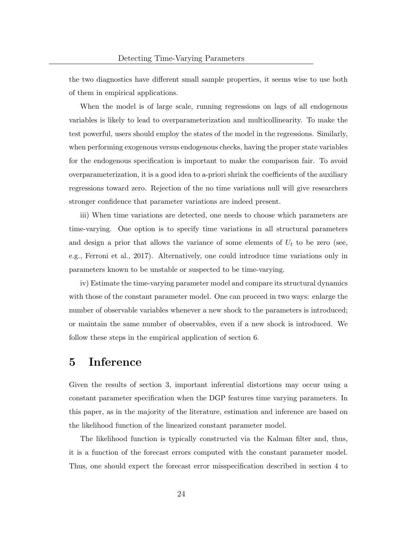the two diagnostics have different small sample properties, it seems wise to use both of them in empirical applications.

When the model is of large scale, running regressions on lags of all endogenous variables is likely to lead to overparameterization and multicollinearity. To make the test powerful, users should employ the states of the model in the regressions. Similarly, when performing exogenous versus endogenous checks, having the proper state variables for the endogenous specification is important to make the comparison fair. To avoid overparameterization, it is a good idea to a-priori shrink the coefficients of the auxiliary regressions toward zero. Rejection of the no time variations null will give researchers stronger confidence that parameter variations are indeed present.

iii) When time variations are detected, one needs to choose which parameters are time-varying. One option is to specify time variations in all structural parameters and design a prior that allows the variance of some elements of  $U_t$  to be zero (see, e.g., Ferroni et al., 2017). Alternatively, one could introduce time variations only in parameters known to be unstable or suspected to be time-varying.

iv) Estimate the time-varying parameter model and compare its structural dynamics with those of the constant parameter model. One can proceed in two ways: enlarge the number of observable variables whenever a new shock to the parameters is introduced; or maintain the same number of observables, even if a new shock is introduced. We follow these steps in the empirical application of section 6.

# 5 Inference

Given the results of section 3, important inferential distortions may occur using a constant parameter specification when the DGP features time varying parameters. In this paper, as in the majority of the literature, estimation and inference are based on the likelihood function of the linearized constant parameter model.

The likelihood function is typically constructed via the Kalman filter and, thus, it is a function of the forecast errors computed with the constant parameter model. Thus, one should expect the forecast error misspecification described in section 4 to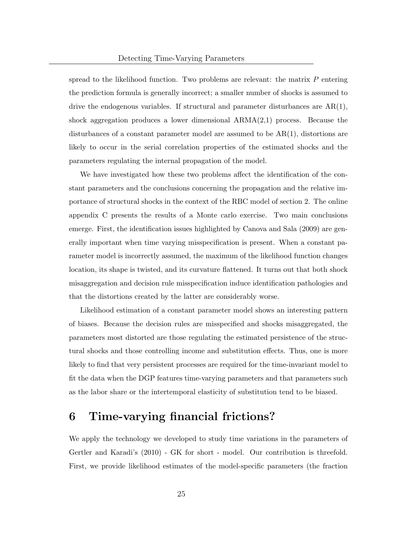spread to the likelihood function. Two problems are relevant: the matrix  $P$  entering the prediction formula is generally incorrect; a smaller number of shocks is assumed to drive the endogenous variables. If structural and parameter disturbances are  $AR(1)$ , shock aggregation produces a lower dimensional ARMA(2,1) process. Because the disturbances of a constant parameter model are assumed to be  $AR(1)$ , distortions are likely to occur in the serial correlation properties of the estimated shocks and the parameters regulating the internal propagation of the model.

We have investigated how these two problems affect the identification of the constant parameters and the conclusions concerning the propagation and the relative importance of structural shocks in the context of the RBC model of section 2. The online appendix C presents the results of a Monte carlo exercise. Two main conclusions emerge. First, the identification issues highlighted by Canova and Sala (2009) are generally important when time varying misspecification is present. When a constant parameter model is incorrectly assumed, the maximum of the likelihood function changes location, its shape is twisted, and its curvature flattened. It turns out that both shock misaggregation and decision rule misspecification induce identification pathologies and that the distortions created by the latter are considerably worse.

Likelihood estimation of a constant parameter model shows an interesting pattern of biases. Because the decision rules are misspecified and shocks misaggregated, the parameters most distorted are those regulating the estimated persistence of the structural shocks and those controlling income and substitution effects. Thus, one is more likely to find that very persistent processes are required for the time-invariant model to fit the data when the DGP features time-varying parameters and that parameters such as the labor share or the intertemporal elasticity of substitution tend to be biased.

### 6 Time-varying financial frictions?

We apply the technology we developed to study time variations in the parameters of Gertler and Karadi's (2010) - GK for short - model. Our contribution is threefold. First, we provide likelihood estimates of the model-specific parameters (the fraction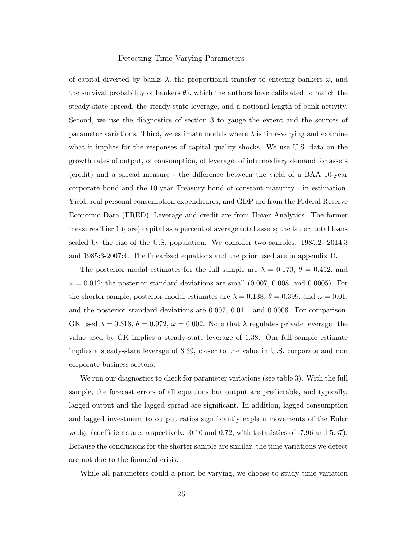of capital diverted by banks  $\lambda$ , the proportional transfer to entering bankers  $\omega$ , and the survival probability of bankers  $\theta$ ), which the authors have calibrated to match the steady-state spread, the steady-state leverage, and a notional length of bank activity. Second, we use the diagnostics of section 3 to gauge the extent and the sources of parameter variations. Third, we estimate models where  $\lambda$  is time-varying and examine what it implies for the responses of capital quality shocks. We use U.S. data on the growth rates of output, of consumption, of leverage, of intermediary demand for assets (credit) and a spread measure - the difference between the yield of a BAA 10-year corporate bond and the 10-year Treasury bond of constant maturity - in estimation. Yield, real personal consumption expenditures, and GDP are from the Federal Reserve Economic Data (FRED). Leverage and credit are from Haver Analytics. The former measures Tier 1 (core) capital as a percent of average total assets; the latter, total loans scaled by the size of the U.S. population. We consider two samples: 1985:2- 2014:3 and 1985:3-2007:4. The linearized equations and the prior used are in appendix D.

The posterior modal estimates for the full sample are  $\lambda = 0.170, \theta = 0.452,$  and  $\omega = 0.012$ ; the posterior standard deviations are small  $(0.007, 0.008,$  and 0.0005). For the shorter sample, posterior modal estimates are  $\lambda = 0.138$ ,  $\theta = 0.399$ , and  $\omega = 0.01$ , and the posterior standard deviations are 0.007, 0.011, and 0.0006. For comparison, GK used  $\lambda = 0.318$ ,  $\theta = 0.972$ ,  $\omega = 0.002$ . Note that  $\lambda$  regulates private leverage: the value used by GK implies a steady-state leverage of 1.38. Our full sample estimate implies a steady-state leverage of 3.39, closer to the value in U.S. corporate and non corporate business sectors.

We run our diagnostics to check for parameter variations (see table 3). With the full sample, the forecast errors of all equations but output are predictable, and typically, lagged output and the lagged spread are significant. In addition, lagged consumption and lagged investment to output ratios significantly explain movements of the Euler wedge (coefficients are, respectively, -0.10 and 0.72, with t-statistics of -7.96 and 5.37). Because the conclusions for the shorter sample are similar, the time variations we detect are not due to the financial crisis.

While all parameters could a-priori be varying, we choose to study time variation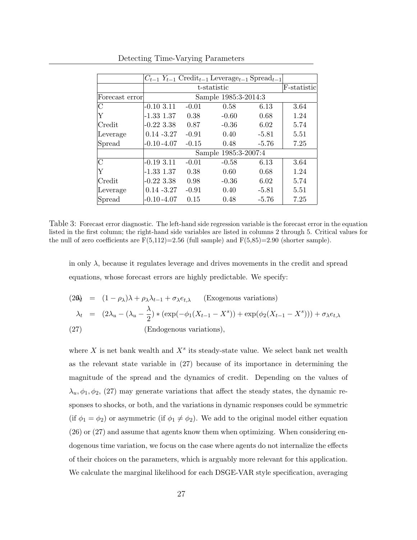|                |                      |             | $C_{t-1}$ $Y_{t-1}$ Credit <sub>t-1</sub> Leverage <sub>t-1</sub> Spread <sub>t-1</sub> |         |      |  |
|----------------|----------------------|-------------|-----------------------------------------------------------------------------------------|---------|------|--|
|                |                      | F-statistic |                                                                                         |         |      |  |
| Forecast error | Sample 1985:3-2014:3 |             |                                                                                         |         |      |  |
| С              | $-0.10$ 3.11         | $-0.01$     | 0.58                                                                                    | 6.13    | 3.64 |  |
| Y              | $-1.33$ $1.37$       | 0.38        | $-0.60$                                                                                 | 0.68    | 1.24 |  |
| Credit         | $-0.223338$          | 0.87        | $-0.36$                                                                                 | 6.02    | 5.74 |  |
| Leverage       | $0.14 - 3.27$        | $-0.91$     | 0.40                                                                                    | $-5.81$ | 5.51 |  |
| Spread         | $-0.10 - 4.07$       | $-0.15$     | 0.48                                                                                    | $-5.76$ | 7.25 |  |
|                | Sample 1985:3-2007:4 |             |                                                                                         |         |      |  |
| С              | $-0.1933.11$         | $-0.01$     | $-0.58$                                                                                 | 6.13    | 3.64 |  |
| Υ              | $-1.33$ $1.37$       | 0.38        | 0.60                                                                                    | 0.68    | 1.24 |  |
| Credit         | $-0.223338$          | 0.98        | $-0.36$                                                                                 | 6.02    | 5.74 |  |
| Leverage       | $0.14 - 3.27$        | $-0.91$     | 0.40                                                                                    | $-5.81$ | 5.51 |  |
| Spread         | $-0.10 - 4.07$       | 0.15        | 0.48                                                                                    | $-5.76$ | 7.25 |  |

Detecting Time-Varying Parameters

Table 3: Forecast error diagnostic. The left-hand side regression variable is the forecast error in the equation listed in the first column; the right-hand side variables are listed in columns 2 through 5. Critical values for the null of zero coefficients are  $F(5,112)=2.56$  (full sample) and  $F(5,85)=2.90$  (shorter sample).

in only  $\lambda$ , because it regulates leverage and drives movements in the credit and spread equations, whose forecast errors are highly predictable. We specify:

(20) = 
$$
(1 - \rho_{\lambda})\lambda + \rho_{\lambda}\lambda_{t-1} + \sigma_{\lambda}e_{t,\lambda}
$$
 (Exogenous variations)  
\n
$$
\lambda_t = (2\lambda_u - (\lambda_u - \frac{\lambda}{2}) * (\exp(-\phi_1(X_{t-1} - X^s)) + \exp(\phi_2(X_{t-1} - X^s))) + \sigma_{\lambda}e_{t,\lambda}
$$
\n(27) (Endogenous variations),

where X is net bank wealth and  $X<sup>s</sup>$  its steady-state value. We select bank net wealth as the relevant state variable in (27) because of its importance in determining the magnitude of the spread and the dynamics of credit. Depending on the values of  $\lambda_u, \phi_1, \phi_2, (27)$  may generate variations that affect the steady states, the dynamic responses to shocks, or both, and the variations in dynamic responses could be symmetric (if  $\phi_1 = \phi_2$ ) or asymmetric (if  $\phi_1 \neq \phi_2$ ). We add to the original model either equation (26) or (27) and assume that agents know them when optimizing. When considering endogenous time variation, we focus on the case where agents do not internalize the effects of their choices on the parameters, which is arguably more relevant for this application. We calculate the marginal likelihood for each DSGE-VAR style specification, averaging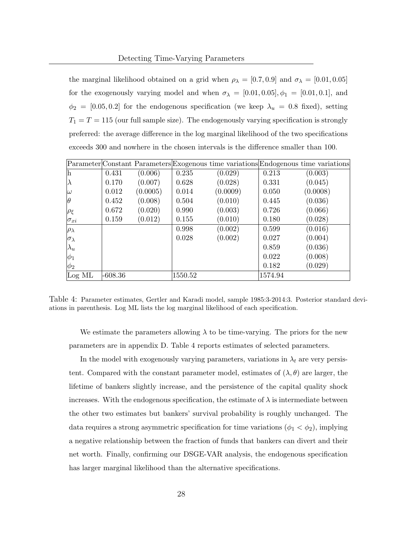the marginal likelihood obtained on a grid when  $\rho_{\lambda} = [0.7, 0.9]$  and  $\sigma_{\lambda} = [0.01, 0.05]$ for the exogenously varying model and when  $\sigma_{\lambda} = [0.01, 0.05], \phi_1 = [0.01, 0.1],$  and  $\phi_2 = [0.05, 0.2]$  for the endogenous specification (we keep  $\lambda_u = 0.8$  fixed), setting  $T_1 = T = 115$  (our full sample size). The endogenously varying specification is strongly preferred: the average difference in the log marginal likelihood of the two specifications exceeds 300 and nowhere in the chosen intervals is the difference smaller than 100.

|                      |         |          |         | Parameter Constant Parameters Exogenous time variations Endogenous time variations |         |          |
|----------------------|---------|----------|---------|------------------------------------------------------------------------------------|---------|----------|
| h                    | 0.431   | (0.006)  | 0.235   | (0.029)                                                                            | 0.213   | (0.003)  |
| Iλ                   | 0.170   | (0.007)  | 0.628   | (0.028)                                                                            | 0.331   | (0.045)  |
| $\omega$             | 0.012   | (0.0005) | 0.014   | (0.0009)                                                                           | 0.050   | (0.0008) |
| $ \theta$            | 0.452   | (0.008)  | 0.504   | (0.010)                                                                            | 0.445   | (0.036)  |
| $ \rho_{\xi} $       | 0.672   | (0.020)  | 0.990   | (0.003)                                                                            | 0.726   | (0.066)  |
| $\sigma_{xi}$        | 0.159   | (0.012)  | 0.155   | (0.010)                                                                            | 0.180   | (0.028)  |
| $ \rho_{\lambda} $   |         |          | 0.998   | (0.002)                                                                            | 0.599   | (0.016)  |
| $ \sigma_{\lambda} $ |         |          | 0.028   | (0.002)                                                                            | 0.027   | (0.004)  |
| $ \lambda_u $        |         |          |         |                                                                                    | 0.859   | (0.036)  |
| $ \phi_1 $           |         |          |         |                                                                                    | 0.022   | (0.008)  |
| $ \phi_2 $           |         |          |         |                                                                                    | 0.182   | (0.029)  |
| Log ML               | -608.36 |          | 1550.52 |                                                                                    | 1574.94 |          |

Table 4: Parameter estimates, Gertler and Karadi model, sample 1985:3-2014:3. Posterior standard deviations in parenthesis. Log ML lists the log marginal likelihood of each specification.

We estimate the parameters allowing  $\lambda$  to be time-varying. The priors for the new parameters are in appendix D. Table 4 reports estimates of selected parameters.

In the model with exogenously varying parameters, variations in  $\lambda_t$  are very persistent. Compared with the constant parameter model, estimates of  $(\lambda, \theta)$  are larger, the lifetime of bankers slightly increase, and the persistence of the capital quality shock increases. With the endogenous specification, the estimate of  $\lambda$  is intermediate between the other two estimates but bankers' survival probability is roughly unchanged. The data requires a strong asymmetric specification for time variations ( $\phi_1 < \phi_2$ ), implying a negative relationship between the fraction of funds that bankers can divert and their net worth. Finally, confirming our DSGE-VAR analysis, the endogenous specification has larger marginal likelihood than the alternative specifications.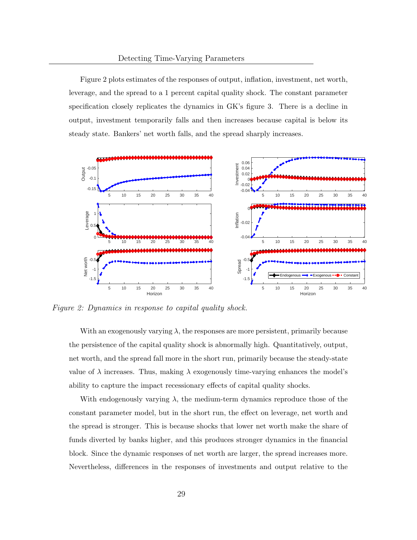Figure 2 plots estimates of the responses of output, inflation, investment, net worth, leverage, and the spread to a 1 percent capital quality shock. The constant parameter specification closely replicates the dynamics in GK's figure 3. There is a decline in output, investment temporarily falls and then increases because capital is below its steady state. Bankers' net worth falls, and the spread sharply increases.



Figure 2: Dynamics in response to capital quality shock.

With an exogenously varying  $\lambda$ , the responses are more persistent, primarily because the persistence of the capital quality shock is abnormally high. Quantitatively, output, net worth, and the spread fall more in the short run, primarily because the steady-state value of  $\lambda$  increases. Thus, making  $\lambda$  exogenously time-varying enhances the model's ability to capture the impact recessionary effects of capital quality shocks.

With endogenously varying  $\lambda$ , the medium-term dynamics reproduce those of the constant parameter model, but in the short run, the effect on leverage, net worth and the spread is stronger. This is because shocks that lower net worth make the share of funds diverted by banks higher, and this produces stronger dynamics in the financial block. Since the dynamic responses of net worth are larger, the spread increases more. Nevertheless, differences in the responses of investments and output relative to the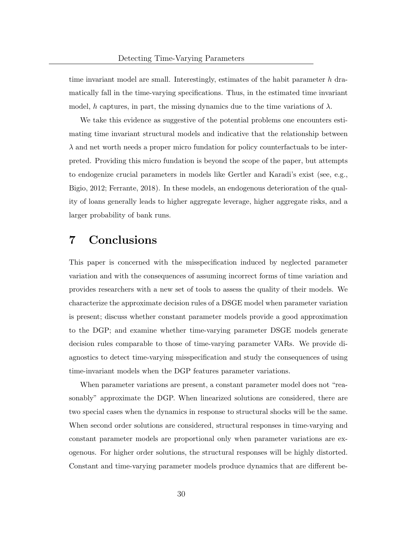time invariant model are small. Interestingly, estimates of the habit parameter  $h$  dramatically fall in the time-varying specifications. Thus, in the estimated time invariant model, h captures, in part, the missing dynamics due to the time variations of  $\lambda$ .

We take this evidence as suggestive of the potential problems one encounters estimating time invariant structural models and indicative that the relationship between  $\lambda$  and net worth needs a proper micro fundation for policy counterfactuals to be interpreted. Providing this micro fundation is beyond the scope of the paper, but attempts to endogenize crucial parameters in models like Gertler and Karadi's exist (see, e.g., Bigio, 2012; Ferrante, 2018). In these models, an endogenous deterioration of the quality of loans generally leads to higher aggregate leverage, higher aggregate risks, and a larger probability of bank runs.

# 7 Conclusions

This paper is concerned with the misspecification induced by neglected parameter variation and with the consequences of assuming incorrect forms of time variation and provides researchers with a new set of tools to assess the quality of their models. We characterize the approximate decision rules of a DSGE model when parameter variation is present; discuss whether constant parameter models provide a good approximation to the DGP; and examine whether time-varying parameter DSGE models generate decision rules comparable to those of time-varying parameter VARs. We provide diagnostics to detect time-varying misspecification and study the consequences of using time-invariant models when the DGP features parameter variations.

When parameter variations are present, a constant parameter model does not "reasonably" approximate the DGP. When linearized solutions are considered, there are two special cases when the dynamics in response to structural shocks will be the same. When second order solutions are considered, structural responses in time-varying and constant parameter models are proportional only when parameter variations are exogenous. For higher order solutions, the structural responses will be highly distorted. Constant and time-varying parameter models produce dynamics that are different be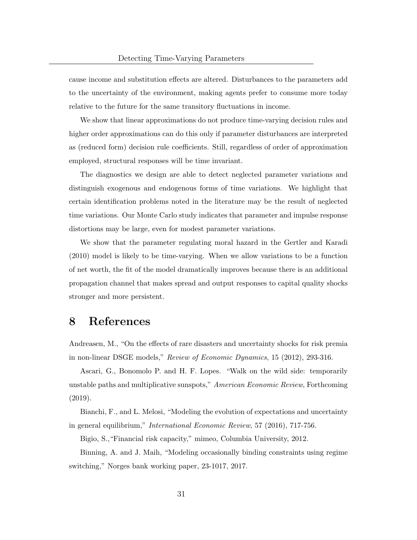cause income and substitution effects are altered. Disturbances to the parameters add to the uncertainty of the environment, making agents prefer to consume more today relative to the future for the same transitory fluctuations in income.

We show that linear approximations do not produce time-varying decision rules and higher order approximations can do this only if parameter disturbances are interpreted as (reduced form) decision rule coefficients. Still, regardless of order of approximation employed, structural responses will be time invariant.

The diagnostics we design are able to detect neglected parameter variations and distinguish exogenous and endogenous forms of time variations. We highlight that certain identification problems noted in the literature may be the result of neglected time variations. Our Monte Carlo study indicates that parameter and impulse response distortions may be large, even for modest parameter variations.

We show that the parameter regulating moral hazard in the Gertler and Karadi (2010) model is likely to be time-varying. When we allow variations to be a function of net worth, the fit of the model dramatically improves because there is an additional propagation channel that makes spread and output responses to capital quality shocks stronger and more persistent.

### 8 References

Andreasen, M., "On the effects of rare disasters and uncertainty shocks for risk premia in non-linear DSGE models," Review of Economic Dynamics, 15 (2012), 293-316.

Ascari, G., Bonomolo P. and H. F. Lopes. "Walk on the wild side: temporarily unstable paths and multiplicative sunspots," American Economic Review, Forthcoming (2019).

Bianchi, F., and L. Melosi, "Modeling the evolution of expectations and uncertainty in general equilibrium," International Economic Review, 57 (2016), 717-756.

Bigio, S.,"Financial risk capacity," mimeo, Columbia University, 2012.

Binning, A. and J. Maih, "Modeling occasionally binding constraints using regime switching," Norges bank working paper, 23-1017, 2017.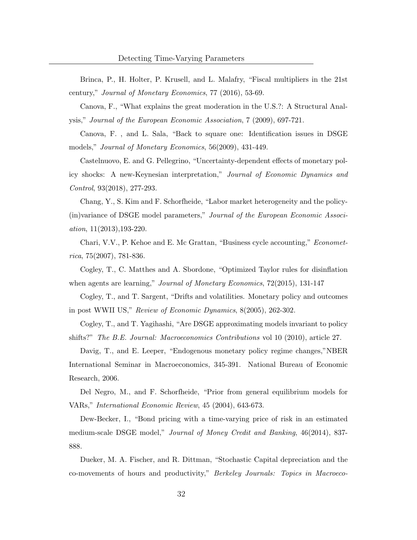Brinca, P., H. Holter, P. Krusell, and L. Malafry, "Fiscal multipliers in the 21st century," Journal of Monetary Economics, 77 (2016), 53-69.

Canova, F., "What explains the great moderation in the U.S.?: A Structural Analysis," Journal of the European Economic Association, 7 (2009), 697-721.

Canova, F. , and L. Sala, "Back to square one: Identification issues in DSGE models," Journal of Monetary Economics, 56(2009), 431-449.

Castelnuovo, E. and G. Pellegrino, "Uncertainty-dependent effects of monetary policy shocks: A new-Keynesian interpretation," Journal of Economic Dynamics and Control, 93(2018), 277-293.

Chang, Y., S. Kim and F. Schorfheide, "Labor market heterogeneity and the policy- (in)variance of DSGE model parameters," Journal of the European Economic Association, 11(2013),193-220.

Chari, V.V., P. Kehoe and E. Mc Grattan, "Business cycle accounting," Economet $rica, 75(2007), 781-836.$ 

Cogley, T., C. Matthes and A. Sbordone, "Optimized Taylor rules for disinflation when agents are learning," *Journal of Monetary Economics*, 72(2015), 131-147

Cogley, T., and T. Sargent, "Drifts and volatilities. Monetary policy and outcomes in post WWII US," Review of Economic Dynamics, 8(2005), 262-302.

Cogley, T., and T. Yagihashi, "Are DSGE approximating models invariant to policy shifts?" The B.E. Journal: Macroeconomics Contributions vol 10 (2010), article 27.

Davig, T., and E. Leeper, "Endogenous monetary policy regime changes,"NBER International Seminar in Macroeconomics, 345-391. National Bureau of Economic Research, 2006.

Del Negro, M., and F. Schorfheide, "Prior from general equilibrium models for VARs," International Economic Review, 45 (2004), 643-673.

Dew-Becker, I., "Bond pricing with a time-varying price of risk in an estimated medium-scale DSGE model," Journal of Money Credit and Banking, 46(2014), 837- 888.

Dueker, M. A. Fischer, and R. Dittman, "Stochastic Capital depreciation and the co-movements of hours and productivity," Berkeley Journals: Topics in Macroeco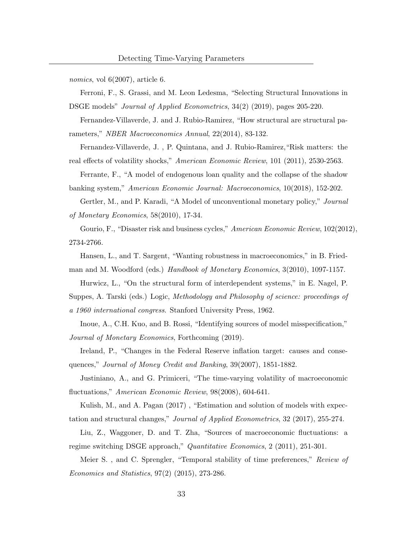*nomics*, vol  $6(2007)$ , article 6.

Ferroni, F., S. Grassi, and M. Leon Ledesma, "Selecting Structural Innovations in DSGE models" *Journal of Applied Econometrics*, 34(2) (2019), pages 205-220.

Fernandez-Villaverde, J. and J. Rubio-Ramirez, "How structural are structural parameters," NBER Macroeconomics Annual, 22(2014), 83-132.

Fernandez-Villaverde, J. , P. Quintana, and J. Rubio-Ramirez,"Risk matters: the real effects of volatility shocks," American Economic Review, 101 (2011), 2530-2563.

Ferrante, F., "A model of endogenous loan quality and the collapse of the shadow banking system," American Economic Journal: Macroeconomics, 10(2018), 152-202.

Gertler, M., and P. Karadi, "A Model of unconventional monetary policy," Journal of Monetary Economics, 58(2010), 17-34.

Gourio, F., "Disaster risk and business cycles," American Economic Review, 102(2012), 2734-2766.

Hansen, L., and T. Sargent, "Wanting robustness in macroeconomics," in B. Fried-

man and M. Woodford (eds.) Handbook of Monetary Economics, 3(2010), 1097-1157.

Hurwicz, L., "On the structural form of interdependent systems," in E. Nagel, P. Suppes, A. Tarski (eds.) Logic, Methodology and Philosophy of science: proceedings of a 1960 international congress. Stanford University Press, 1962.

Inoue, A., C.H. Kuo, and B. Rossi, "Identifying sources of model misspecification," Journal of Monetary Economics, Forthcoming (2019).

Ireland, P., "Changes in the Federal Reserve inflation target: causes and consequences," Journal of Money Credit and Banking, 39(2007), 1851-1882.

Justiniano, A., and G. Primiceri, "The time-varying volatility of macroeconomic fluctuations," American Economic Review, 98(2008), 604-641.

Kulish, M., and A. Pagan (2017), "Estimation and solution of models with expectation and structural changes," Journal of Applied Econometrics, 32 (2017), 255-274.

Liu, Z., Waggoner, D. and T. Zha, "Sources of macroeconomic fluctuations: a regime switching DSGE approach," Quantitative Economics, 2 (2011), 251-301.

Meier S., and C. Sprengler, "Temporal stability of time preferences," Review of Economics and Statistics, 97(2) (2015), 273-286.